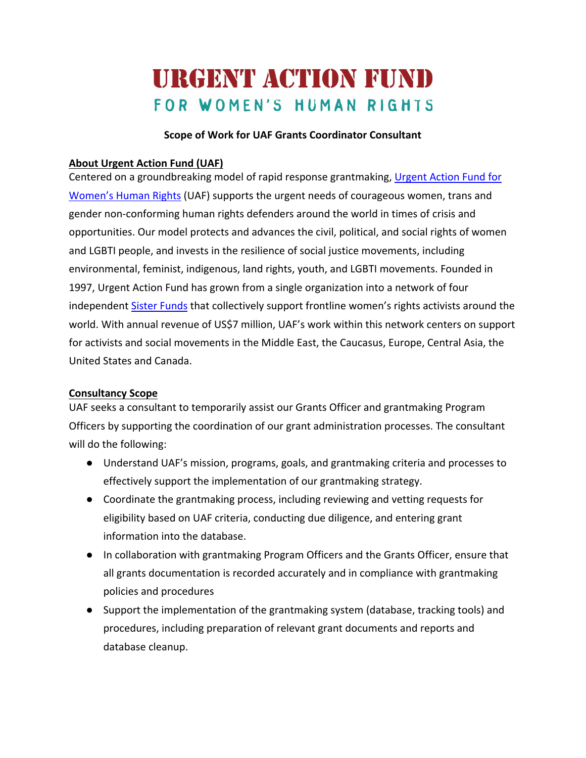# **URGENT ACTION FUND** FOR WOMEN'S HUMAN RIGHTS

## **Scope of Work for UAF Grants Coordinator Consultant**

#### **About Urgent Action Fund (UAF)**

Centered on a groundbreaking model of rapid response grantmaking, Urgent Action Fund for Women's Human Rights (UAF) supports the urgent needs of courageous women, trans and gender non-conforming human rights defenders around the world in times of crisis and opportunities. Our model protects and advances the civil, political, and social rights of women and LGBTI people, and invests in the resilience of social justice movements, including environmental, feminist, indigenous, land rights, youth, and LGBTI movements. Founded in 1997, Urgent Action Fund has grown from a single organization into a network of four independent Sister Funds that collectively support frontline women's rights activists around the world. With annual revenue of US\$7 million, UAF's work within this network centers on support for activists and social movements in the Middle East, the Caucasus, Europe, Central Asia, the United States and Canada.

# **Consultancy Scope**

UAF seeks a consultant to temporarily assist our Grants Officer and grantmaking Program Officers by supporting the coordination of our grant administration processes. The consultant will do the following:

- Understand UAF's mission, programs, goals, and grantmaking criteria and processes to effectively support the implementation of our grantmaking strategy.
- Coordinate the grantmaking process, including reviewing and vetting requests for eligibility based on UAF criteria, conducting due diligence, and entering grant information into the database.
- In collaboration with grantmaking Program Officers and the Grants Officer, ensure that all grants documentation is recorded accurately and in compliance with grantmaking policies and procedures
- Support the implementation of the grantmaking system (database, tracking tools) and procedures, including preparation of relevant grant documents and reports and database cleanup.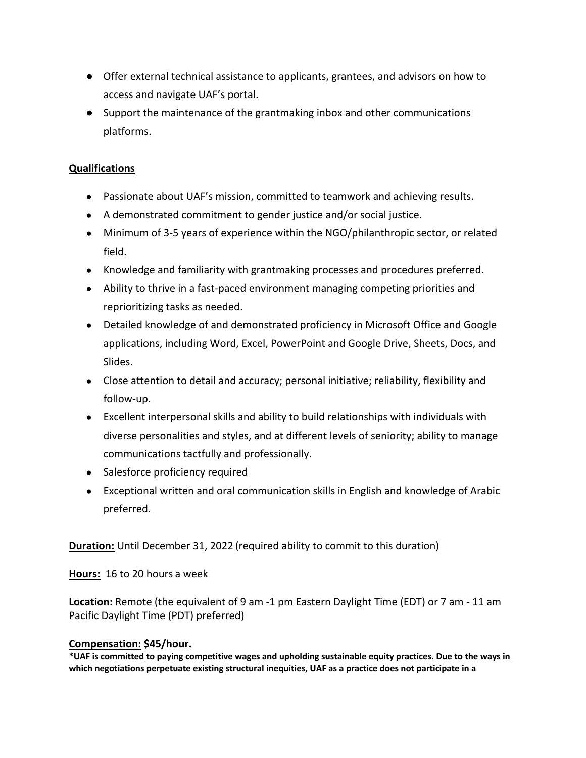- Offer external technical assistance to applicants, grantees, and advisors on how to access and navigate UAF's portal.
- Support the maintenance of the grantmaking inbox and other communications platforms.

#### **Qualifications**

- Passionate about UAF's mission, committed to teamwork and achieving results.
- A demonstrated commitment to gender justice and/or social justice.
- Minimum of 3-5 years of experience within the NGO/philanthropic sector, or related field.
- Knowledge and familiarity with grantmaking processes and procedures preferred.
- Ability to thrive in a fast-paced environment managing competing priorities and reprioritizing tasks as needed.
- Detailed knowledge of and demonstrated proficiency in Microsoft Office and Google applications, including Word, Excel, PowerPoint and Google Drive, Sheets, Docs, and Slides.
- Close attention to detail and accuracy; personal initiative; reliability, flexibility and follow-up.
- Excellent interpersonal skills and ability to build relationships with individuals with diverse personalities and styles, and at different levels of seniority; ability to manage communications tactfully and professionally.
- Salesforce proficiency required
- Exceptional written and oral communication skills in English and knowledge of Arabic preferred.

**Duration:** Until December 31, 2022 (required ability to commit to this duration)

**Hours:** 16 to 20 hours a week

**Location:** Remote (the equivalent of 9 am -1 pm Eastern Daylight Time (EDT) or 7 am - 11 am Pacific Daylight Time (PDT) preferred)

# **Compensation: \$45/hour.**

\*UAF is committed to paying competitive wages and upholding sustainable equity practices. Due to the ways in **which negotiations perpetuate existing structural inequities, UAF as a practice does not participate in a**